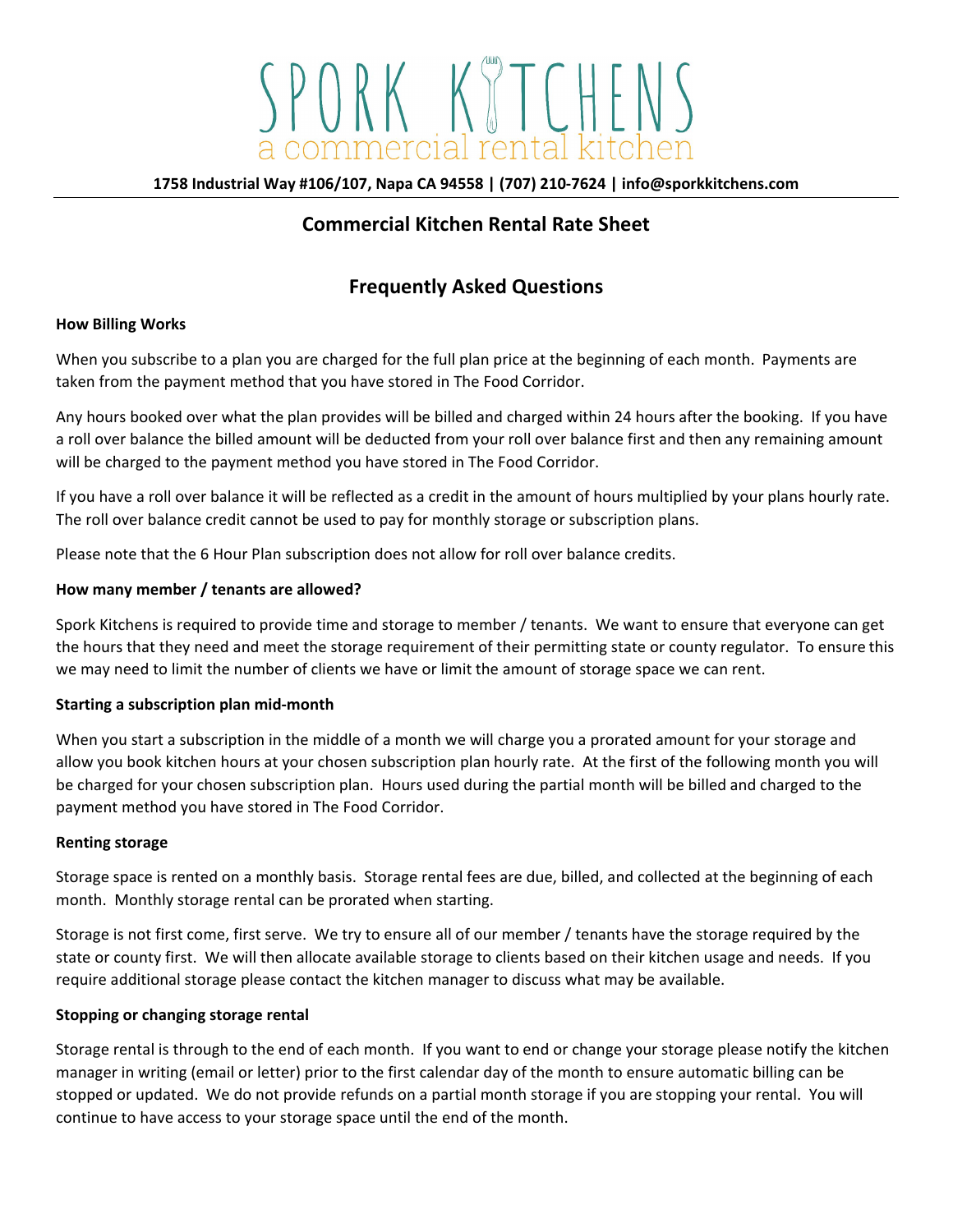# SPORK KITCHENS

**1758 Industrial Way #106/107, Napa CA 94558 | (707) 210-7624 | info@sporkkitchens.com**

### **Commercial Kitchen Rental Rate Sheet**

# **Frequently Asked Questions**

#### **How Billing Works**

When you subscribe to a plan you are charged for the full plan price at the beginning of each month. Payments are taken from the payment method that you have stored in The Food Corridor.

Any hours booked over what the plan provides will be billed and charged within 24 hours after the booking. If you have a roll over balance the billed amount will be deducted from your roll over balance first and then any remaining amount will be charged to the payment method you have stored in The Food Corridor.

If you have a roll over balance it will be reflected as a credit in the amount of hours multiplied by your plans hourly rate. The roll over balance credit cannot be used to pay for monthly storage or subscription plans.

Please note that the 6 Hour Plan subscription does not allow for roll over balance credits.

#### **How many member / tenants are allowed?**

Spork Kitchens is required to provide time and storage to member / tenants. We want to ensure that everyone can get the hours that they need and meet the storage requirement of their permitting state or county regulator. To ensure this we may need to limit the number of clients we have or limit the amount of storage space we can rent.

#### **Starting a subscription plan mid-month**

When you start a subscription in the middle of a month we will charge you a prorated amount for your storage and allow you book kitchen hours at your chosen subscription plan hourly rate. At the first of the following month you will be charged for your chosen subscription plan. Hours used during the partial month will be billed and charged to the payment method you have stored in The Food Corridor.

#### **Renting storage**

Storage space is rented on a monthly basis. Storage rental fees are due, billed, and collected at the beginning of each month. Monthly storage rental can be prorated when starting.

Storage is not first come, first serve. We try to ensure all of our member / tenants have the storage required by the state or county first. We will then allocate available storage to clients based on their kitchen usage and needs. If you require additional storage please contact the kitchen manager to discuss what may be available.

#### **Stopping or changing storage rental**

Storage rental is through to the end of each month. If you want to end or change your storage please notify the kitchen manager in writing (email or letter) prior to the first calendar day of the month to ensure automatic billing can be stopped or updated. We do not provide refunds on a partial month storage if you are stopping your rental. You will continue to have access to your storage space until the end of the month.